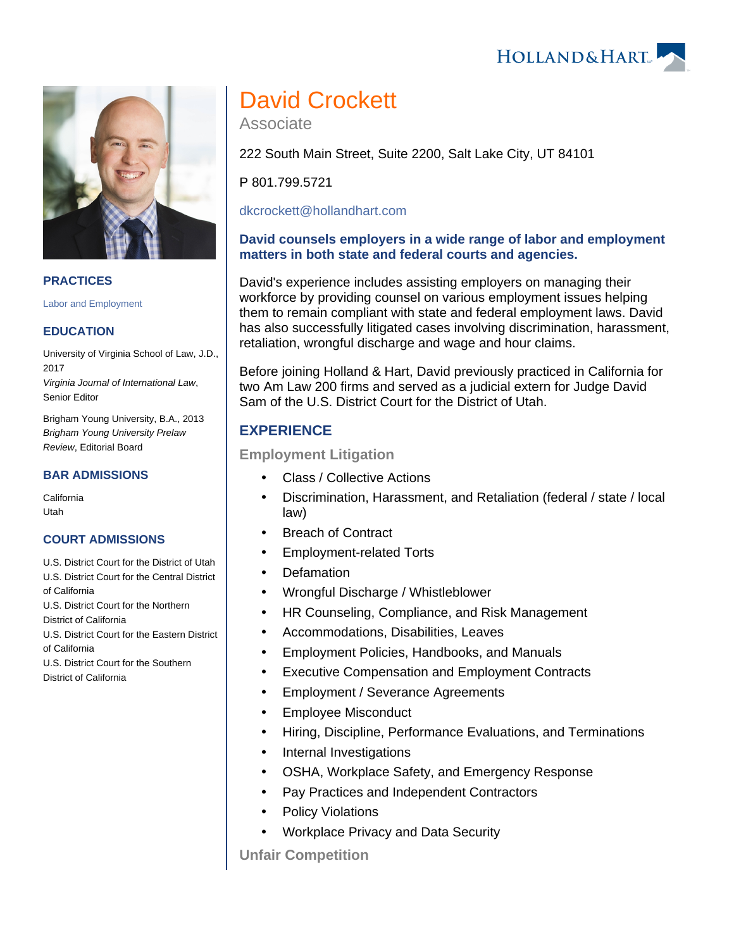**PRACTICES**

[Labor and Employment](https://www.hollandhart.com/19672)

### **EDUCATION**

University of Virginia School of Law, J.D., 2017 Virginia Journal of International Law, Senior Editor

Brigham Young University, B.A., 2013 Brigham Young University Prelaw Review, Editorial Board

### **BAR ADMISSIONS**

California Utah

#### **COURT ADMISSIONS**

- U.S. District Court for the District of Utah U.S. District Court for the Central District of California
- U.S. District Court for the Northern

District of California

U.S. District Court for the Eastern District of California

U.S. District Court for the Southern

District of California

# David Crockett

Associate

222 South Main Street, Suite 2200, Salt Lake City, UT 84101

P 801.799.5721

[dkcrockett@hollandhart.com](mailto:dkcrockett@hollandhart.com)

## **David counsels employers in a wide range of labor and employment matters in both state and federal courts and agencies.**

David's experience includes assisting employers on managing their workforce by providing counsel on various employment issues helping them to remain compliant with state and federal employment laws. David has also successfully litigated cases involving discrimination, harassment, retaliation, wrongful discharge and wage and hour claims.

Before joining Holland & Hart, David previously practiced in California for two Am Law 200 firms and served as a judicial extern for Judge David Sam of the U.S. District Court for the District of Utah.

# **EXPERIENCE**

# **Employment Litigation**

- Class / Collective Actions
- Discrimination, Harassment, and Retaliation (federal / state / local law)
- Breach of Contract
- Employment-related Torts
- Defamation
- Wrongful Discharge / Whistleblower
- HR Counseling, Compliance, and Risk Management
- Accommodations, Disabilities, Leaves
- Employment Policies, Handbooks, and Manuals
- Executive Compensation and Employment Contracts
- Employment / Severance Agreements
- Employee Misconduct
- Hiring, Discipline, Performance Evaluations, and Terminations
- Internal Investigations
- OSHA, Workplace Safety, and Emergency Response
- Pay Practices and Independent Contractors
- Policy Violations
- Workplace Privacy and Data Security

**Unfair Competition**